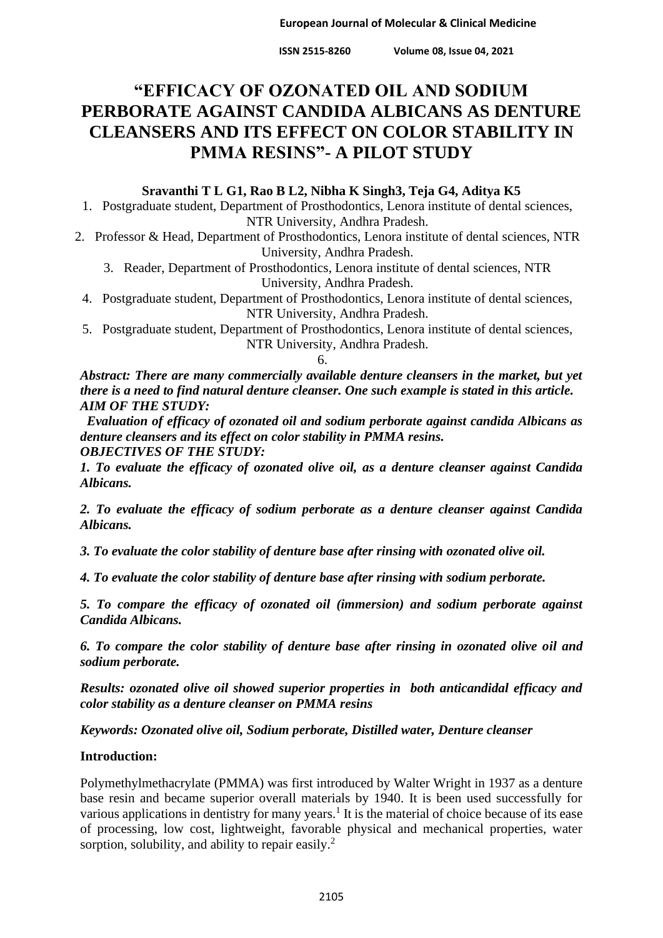**ISSN 2515-8260 Volume 08, Issue 04, 2021**

# **"EFFICACY OF OZONATED OIL AND SODIUM PERBORATE AGAINST CANDIDA ALBICANS AS DENTURE CLEANSERS AND ITS EFFECT ON COLOR STABILITY IN PMMA RESINS"- A PILOT STUDY**

### **Sravanthi T L G1, Rao B L2, Nibha K Singh3, Teja G4, Aditya K5**

1. Postgraduate student, Department of Prosthodontics, Lenora institute of dental sciences, NTR University, Andhra Pradesh.

- 2. Professor & Head, Department of Prosthodontics, Lenora institute of dental sciences, NTR University, Andhra Pradesh.
	- 3. Reader, Department of Prosthodontics, Lenora institute of dental sciences, NTR University, Andhra Pradesh.
	- 4. Postgraduate student, Department of Prosthodontics, Lenora institute of dental sciences, NTR University, Andhra Pradesh.
	- 5. Postgraduate student, Department of Prosthodontics, Lenora institute of dental sciences, NTR University, Andhra Pradesh.

6.

*Abstract: There are many commercially available denture cleansers in the market, but yet there is a need to find natural denture cleanser. One such example is stated in this article. AIM OF THE STUDY:*

*Evaluation of efficacy of ozonated oil and sodium perborate against candida Albicans as denture cleansers and its effect on color stability in PMMA resins. OBJECTIVES OF THE STUDY:*

*1. To evaluate the efficacy of ozonated olive oil, as a denture cleanser against Candida Albicans.*

*2. To evaluate the efficacy of sodium perborate as a denture cleanser against Candida Albicans.*

*3. To evaluate the color stability of denture base after rinsing with ozonated olive oil.*

*4. To evaluate the color stability of denture base after rinsing with sodium perborate.*

*5. To compare the efficacy of ozonated oil (immersion) and sodium perborate against Candida Albicans.*

*6. To compare the color stability of denture base after rinsing in ozonated olive oil and sodium perborate.*

*Results: ozonated olive oil showed superior properties in both anticandidal efficacy and color stability as a denture cleanser on PMMA resins*

*Keywords: Ozonated olive oil, Sodium perborate, Distilled water, Denture cleanser*

### **Introduction:**

Polymethylmethacrylate (PMMA) was first introduced by Walter Wright in 1937 as a denture base resin and became superior overall materials by 1940. It is been used successfully for various applications in dentistry for many years.<sup>1</sup> It is the material of choice because of its ease of processing, low cost, lightweight, favorable physical and mechanical properties, water sorption, solubility, and ability to repair easily.<sup>2</sup>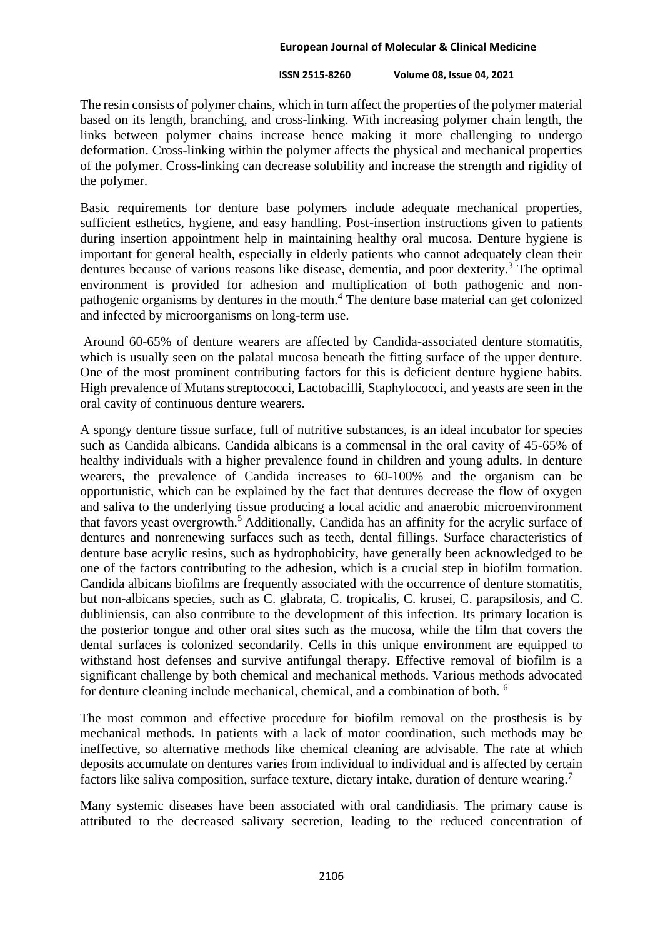#### **ISSN 2515-8260 Volume 08, Issue 04, 2021**

The resin consists of polymer chains, which in turn affect the properties of the polymer material based on its length, branching, and cross-linking. With increasing polymer chain length, the links between polymer chains increase hence making it more challenging to undergo deformation. Cross-linking within the polymer affects the physical and mechanical properties of the polymer. Cross-linking can decrease solubility and increase the strength and rigidity of the polymer.

Basic requirements for denture base polymers include adequate mechanical properties, sufficient esthetics, hygiene, and easy handling. Post-insertion instructions given to patients during insertion appointment help in maintaining healthy oral mucosa. Denture hygiene is important for general health, especially in elderly patients who cannot adequately clean their dentures because of various reasons like disease, dementia, and poor dexterity.<sup>3</sup> The optimal environment is provided for adhesion and multiplication of both pathogenic and nonpathogenic organisms by dentures in the mouth.<sup>4</sup> The denture base material can get colonized and infected by microorganisms on long-term use.

Around 60-65% of denture wearers are affected by Candida-associated denture stomatitis, which is usually seen on the palatal mucosa beneath the fitting surface of the upper denture. One of the most prominent contributing factors for this is deficient denture hygiene habits. High prevalence of Mutans streptococci, Lactobacilli, Staphylococci, and yeasts are seen in the oral cavity of continuous denture wearers.

A spongy denture tissue surface, full of nutritive substances, is an ideal incubator for species such as Candida albicans. Candida albicans is a commensal in the oral cavity of 45-65% of healthy individuals with a higher prevalence found in children and young adults. In denture wearers, the prevalence of Candida increases to 60-100% and the organism can be opportunistic, which can be explained by the fact that dentures decrease the flow of oxygen and saliva to the underlying tissue producing a local acidic and anaerobic microenvironment that favors yeast overgrowth.<sup>5</sup> Additionally, Candida has an affinity for the acrylic surface of dentures and nonrenewing surfaces such as teeth, dental fillings. Surface characteristics of denture base acrylic resins, such as hydrophobicity, have generally been acknowledged to be one of the factors contributing to the adhesion, which is a crucial step in biofilm formation. Candida albicans biofilms are frequently associated with the occurrence of denture stomatitis, but non-albicans species, such as C. glabrata, C. tropicalis, C. krusei, C. parapsilosis, and C. dubliniensis, can also contribute to the development of this infection. Its primary location is the posterior tongue and other oral sites such as the mucosa, while the film that covers the dental surfaces is colonized secondarily. Cells in this unique environment are equipped to withstand host defenses and survive antifungal therapy. Effective removal of biofilm is a significant challenge by both chemical and mechanical methods. Various methods advocated for denture cleaning include mechanical, chemical, and a combination of both. <sup>6</sup>

The most common and effective procedure for biofilm removal on the prosthesis is by mechanical methods. In patients with a lack of motor coordination, such methods may be ineffective, so alternative methods like chemical cleaning are advisable. The rate at which deposits accumulate on dentures varies from individual to individual and is affected by certain factors like saliva composition, surface texture, dietary intake, duration of denture wearing.<sup>7</sup>

Many systemic diseases have been associated with oral candidiasis. The primary cause is attributed to the decreased salivary secretion, leading to the reduced concentration of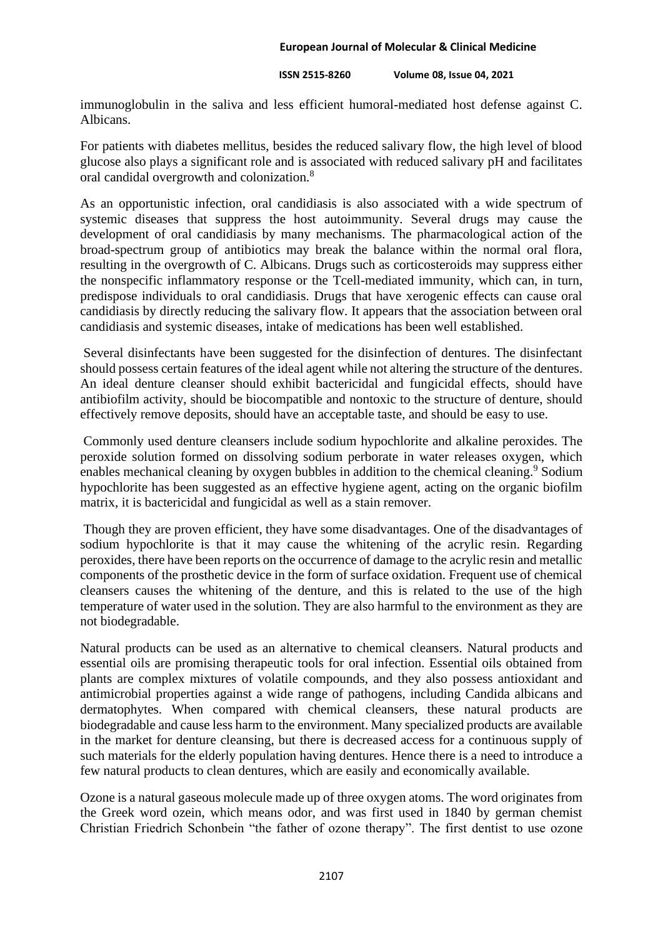#### **ISSN 2515-8260 Volume 08, Issue 04, 2021**

immunoglobulin in the saliva and less efficient humoral-mediated host defense against C. Albicans.

For patients with diabetes mellitus, besides the reduced salivary flow, the high level of blood glucose also plays a significant role and is associated with reduced salivary pH and facilitates oral candidal overgrowth and colonization.<sup>8</sup>

As an opportunistic infection, oral candidiasis is also associated with a wide spectrum of systemic diseases that suppress the host autoimmunity. Several drugs may cause the development of oral candidiasis by many mechanisms. The pharmacological action of the broad-spectrum group of antibiotics may break the balance within the normal oral flora, resulting in the overgrowth of C. Albicans. Drugs such as corticosteroids may suppress either the nonspecific inflammatory response or the Tcell-mediated immunity, which can, in turn, predispose individuals to oral candidiasis. Drugs that have xerogenic effects can cause oral candidiasis by directly reducing the salivary flow. It appears that the association between oral candidiasis and systemic diseases, intake of medications has been well established.

Several disinfectants have been suggested for the disinfection of dentures. The disinfectant should possess certain features of the ideal agent while not altering the structure of the dentures. An ideal denture cleanser should exhibit bactericidal and fungicidal effects, should have antibiofilm activity, should be biocompatible and nontoxic to the structure of denture, should effectively remove deposits, should have an acceptable taste, and should be easy to use.

Commonly used denture cleansers include sodium hypochlorite and alkaline peroxides. The peroxide solution formed on dissolving sodium perborate in water releases oxygen, which enables mechanical cleaning by oxygen bubbles in addition to the chemical cleaning.<sup>9</sup> Sodium hypochlorite has been suggested as an effective hygiene agent, acting on the organic biofilm matrix, it is bactericidal and fungicidal as well as a stain remover.

Though they are proven efficient, they have some disadvantages. One of the disadvantages of sodium hypochlorite is that it may cause the whitening of the acrylic resin. Regarding peroxides, there have been reports on the occurrence of damage to the acrylic resin and metallic components of the prosthetic device in the form of surface oxidation. Frequent use of chemical cleansers causes the whitening of the denture, and this is related to the use of the high temperature of water used in the solution. They are also harmful to the environment as they are not biodegradable.

Natural products can be used as an alternative to chemical cleansers. Natural products and essential oils are promising therapeutic tools for oral infection. Essential oils obtained from plants are complex mixtures of volatile compounds, and they also possess antioxidant and antimicrobial properties against a wide range of pathogens, including Candida albicans and dermatophytes. When compared with chemical cleansers, these natural products are biodegradable and cause less harm to the environment. Many specialized products are available in the market for denture cleansing, but there is decreased access for a continuous supply of such materials for the elderly population having dentures. Hence there is a need to introduce a few natural products to clean dentures, which are easily and economically available.

Ozone is a natural gaseous molecule made up of three oxygen atoms. The word originates from the Greek word ozein, which means odor, and was first used in 1840 by german chemist Christian Friedrich Schonbein "the father of ozone therapy". The first dentist to use ozone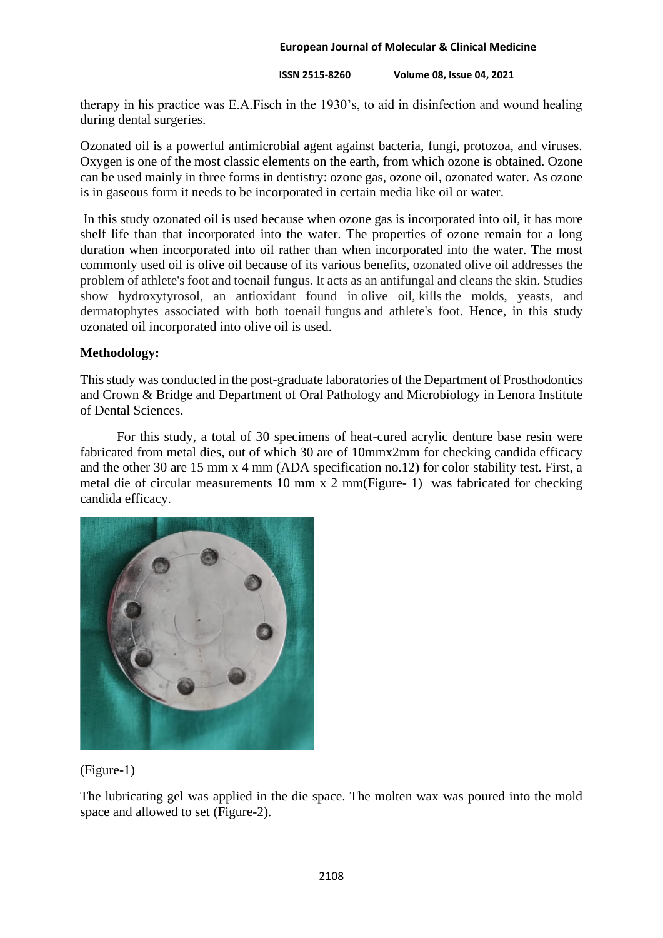#### **ISSN 2515-8260 Volume 08, Issue 04, 2021**

therapy in his practice was E.A.Fisch in the 1930's, to aid in disinfection and wound healing during dental surgeries.

Ozonated oil is a powerful antimicrobial agent against bacteria, fungi, protozoa, and viruses. Oxygen is one of the most classic elements on the earth, from which ozone is obtained. Ozone can be used mainly in three forms in dentistry: ozone gas, ozone oil, ozonated water. As ozone is in gaseous form it needs to be incorporated in certain media like oil or water.

In this study ozonated oil is used because when ozone gas is incorporated into oil, it has more shelf life than that incorporated into the water. The properties of ozone remain for a long duration when incorporated into oil rather than when incorporated into the water. The most commonly used oil is olive oil because of its various benefits, ozonated olive oil addresses the problem of athlete's foot and toenail fungus. It acts as an antifungal and cleans the skin. Studies show hydroxytyrosol, an antioxidant found in olive oil, kills the molds, yeasts, and dermatophytes associated with both toenail fungus and athlete's foot. Hence, in this study ozonated oil incorporated into olive oil is used.

### **Methodology:**

This study was conducted in the post-graduate laboratories of the Department of Prosthodontics and Crown & Bridge and Department of Oral Pathology and Microbiology in Lenora Institute of Dental Sciences.

 For this study, a total of 30 specimens of heat-cured acrylic denture base resin were fabricated from metal dies, out of which 30 are of 10mmx2mm for checking candida efficacy and the other 30 are 15 mm x 4 mm (ADA specification no.12) for color stability test. First, a metal die of circular measurements 10 mm x 2 mm(Figure- 1) was fabricated for checking candida efficacy.



## (Figure-1)

The lubricating gel was applied in the die space. The molten wax was poured into the mold space and allowed to set (Figure-2).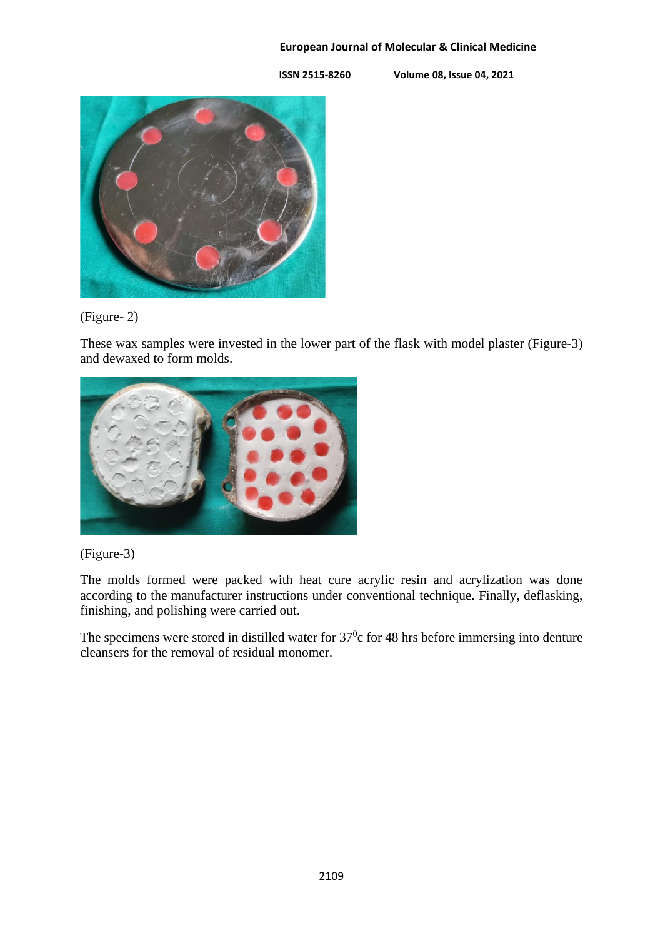**ISSN 2515-8260 Volume 08, Issue 04, 2021**



# (Figure- 2)

These wax samples were invested in the lower part of the flask with model plaster (Figure-3) and dewaxed to form molds.





The molds formed were packed with heat cure acrylic resin and acrylization was done according to the manufacturer instructions under conventional technique. Finally, deflasking, finishing, and polishing were carried out.

The specimens were stored in distilled water for  $37^{\circ}$ c for 48 hrs before immersing into denture cleansers for the removal of residual monomer.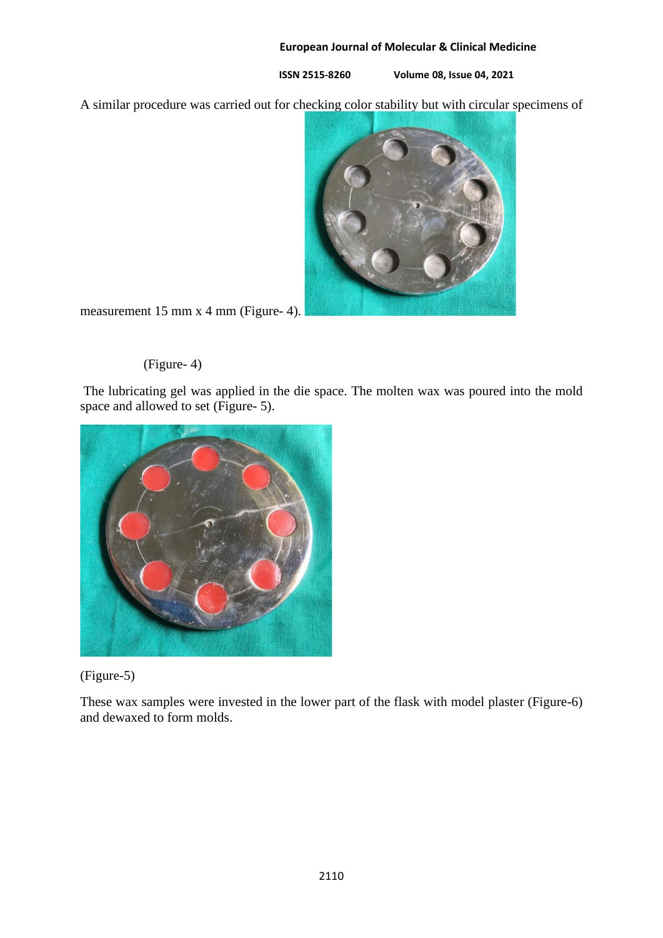**ISSN 2515-8260 Volume 08, Issue 04, 2021**

A similar procedure was carried out for checking color stability but with circular specimens of



measurement 15 mm x 4 mm (Figure- 4).

# (Figure- 4)

The lubricating gel was applied in the die space. The molten wax was poured into the mold space and allowed to set (Figure- 5).



# (Figure-5)

These wax samples were invested in the lower part of the flask with model plaster (Figure-6) and dewaxed to form molds.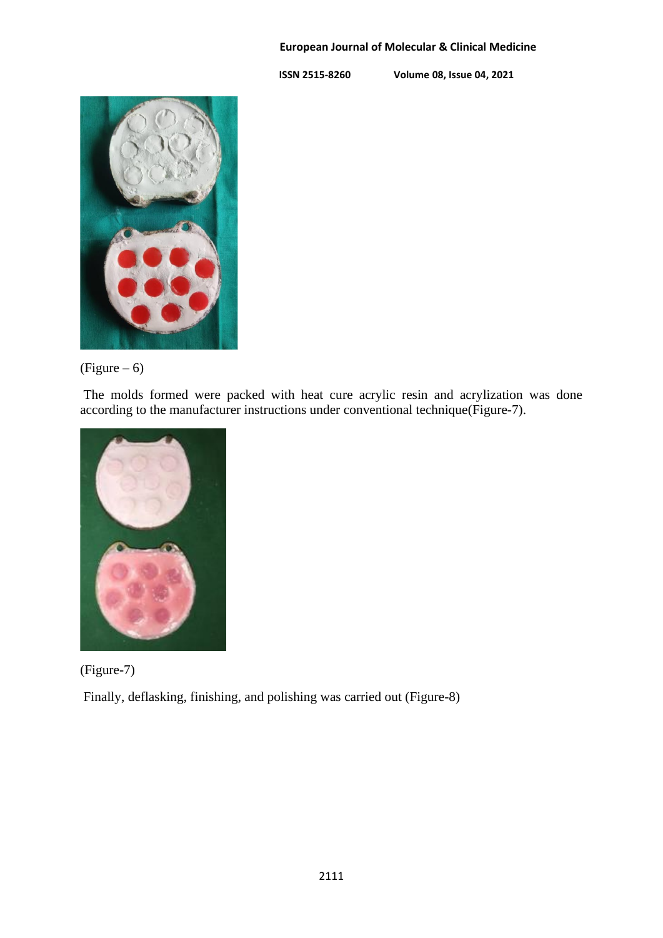**ISSN 2515-8260 Volume 08, Issue 04, 2021**



 $(Figure - 6)$ 

The molds formed were packed with heat cure acrylic resin and acrylization was done according to the manufacturer instructions under conventional technique(Figure-7).





Finally, deflasking, finishing, and polishing was carried out (Figure-8)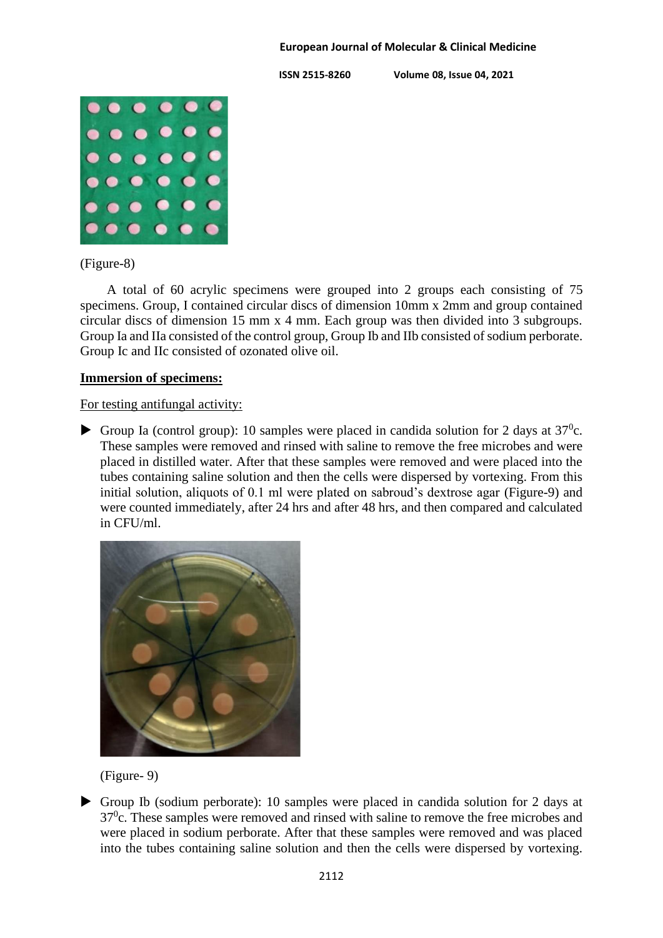**ISSN 2515-8260 Volume 08, Issue 04, 2021**



(Figure-8)

 A total of 60 acrylic specimens were grouped into 2 groups each consisting of 75 specimens. Group, I contained circular discs of dimension 10mm x 2mm and group contained circular discs of dimension 15 mm x 4 mm. Each group was then divided into 3 subgroups. Group Ia and IIa consisted of the control group, Group Ib and IIb consisted of sodium perborate. Group Ic and IIc consisted of ozonated olive oil.

### **Immersion of specimens:**

For testing antifungal activity:

Group Ia (control group): 10 samples were placed in candida solution for 2 days at  $37^{\circ}$ c. These samples were removed and rinsed with saline to remove the free microbes and were placed in distilled water. After that these samples were removed and were placed into the tubes containing saline solution and then the cells were dispersed by vortexing. From this initial solution, aliquots of 0.1 ml were plated on sabroud's dextrose agar (Figure-9) and were counted immediately, after 24 hrs and after 48 hrs, and then compared and calculated in CFU/ml.



(Figure- 9)

 Group Ib (sodium perborate): 10 samples were placed in candida solution for 2 days at 37<sup>0</sup>c. These samples were removed and rinsed with saline to remove the free microbes and were placed in sodium perborate. After that these samples were removed and was placed into the tubes containing saline solution and then the cells were dispersed by vortexing.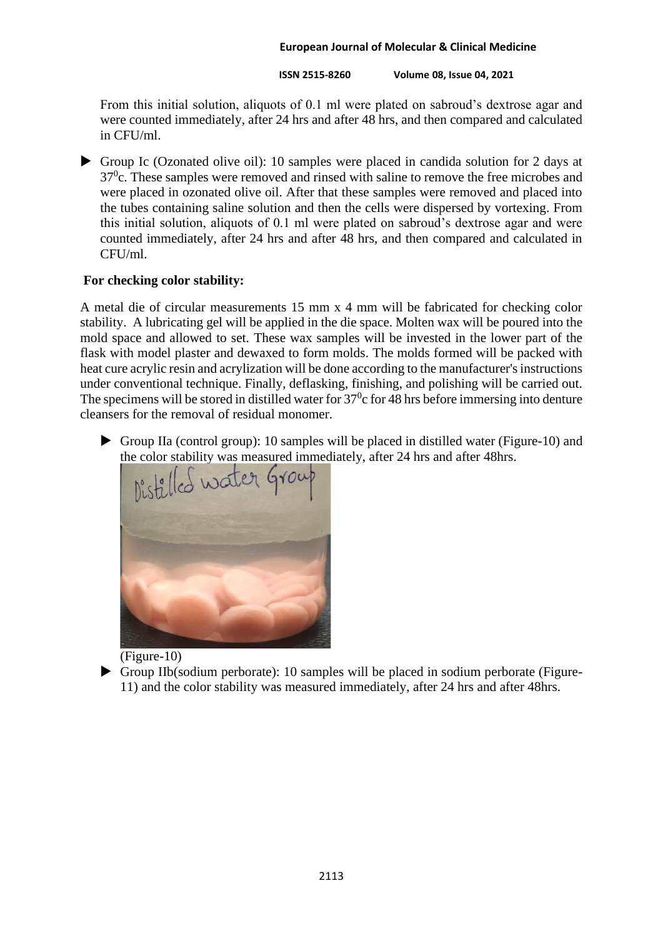**ISSN 2515-8260 Volume 08, Issue 04, 2021**

From this initial solution, aliquots of 0.1 ml were plated on sabroud's dextrose agar and were counted immediately, after 24 hrs and after 48 hrs, and then compared and calculated in CFU/ml.

 Group Ic (Ozonated olive oil): 10 samples were placed in candida solution for 2 days at  $37<sup>0</sup>c$ . These samples were removed and rinsed with saline to remove the free microbes and were placed in ozonated olive oil. After that these samples were removed and placed into the tubes containing saline solution and then the cells were dispersed by vortexing. From this initial solution, aliquots of 0.1 ml were plated on sabroud's dextrose agar and were counted immediately, after 24 hrs and after 48 hrs, and then compared and calculated in  $CFU/ml$ 

# **For checking color stability:**

A metal die of circular measurements 15 mm x 4 mm will be fabricated for checking color stability. A lubricating gel will be applied in the die space. Molten wax will be poured into the mold space and allowed to set. These wax samples will be invested in the lower part of the flask with model plaster and dewaxed to form molds. The molds formed will be packed with heat cure acrylic resin and acrylization will be done according to the manufacturer's instructions under conventional technique. Finally, deflasking, finishing, and polishing will be carried out. The specimens will be stored in distilled water for  $37<sup>0</sup>c$  for 48 hrs before immersing into denture cleansers for the removal of residual monomer.

 Group IIa (control group): 10 samples will be placed in distilled water (Figure-10) and the color stability was measured immediately, after 24 hrs and after 48hrs.





 Group IIb(sodium perborate): 10 samples will be placed in sodium perborate (Figure-11) and the color stability was measured immediately, after 24 hrs and after 48hrs.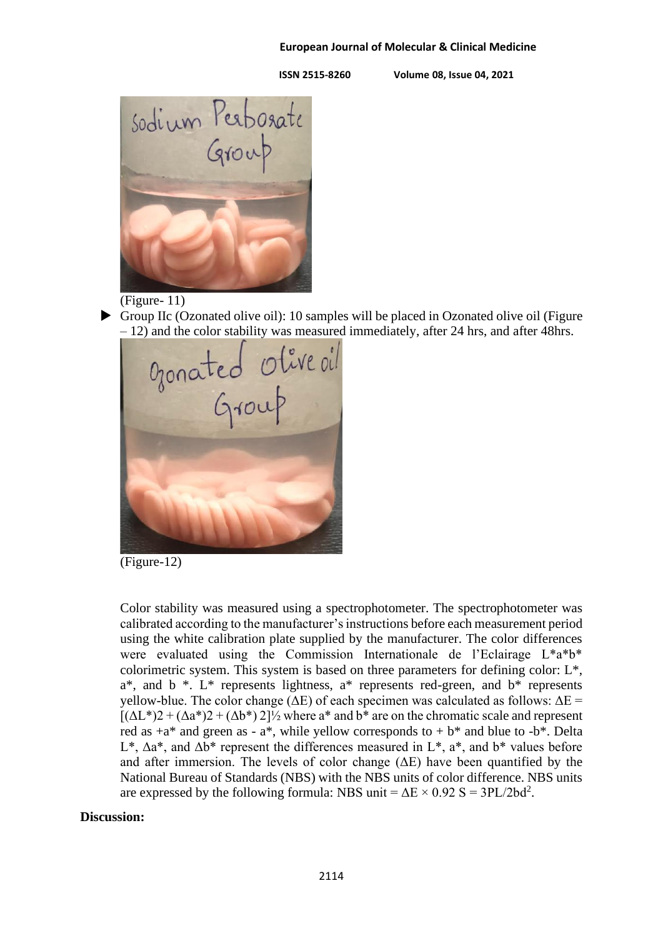**ISSN 2515-8260 Volume 08, Issue 04, 2021**



# (Figure- 11)

Group IIc (Ozonated olive oil): 10 samples will be placed in Ozonated olive oil (Figure

– 12) and the color stability was measured immediately, after 24 hrs, and after 48hrs.<br>
Of  $\omega$  ( $\omega$ )

(Figure-12)

Color stability was measured using a spectrophotometer. The spectrophotometer was calibrated according to the manufacturer's instructions before each measurement period using the white calibration plate supplied by the manufacturer. The color differences were evaluated using the Commission Internationale de l'Eclairage L\*a\*b\* colorimetric system. This system is based on three parameters for defining color: L\*,  $a^*$ , and  $b^*$ . L<sup>\*</sup> represents lightness,  $a^*$  represents red-green, and  $b^*$  represents yellow-blue. The color change ( $ΔE$ ) of each specimen was calculated as follows:  $ΔE =$  $[(\Delta L^*)2 + (\Delta a^*)2 + (\Delta b^*)2]$ <sup>1</sup>/<sub>2</sub> where  $a^*$  and  $b^*$  are on the chromatic scale and represent red as  $+a^*$  and green as -  $a^*$ , while yellow corresponds to  $+b^*$  and blue to  $-b^*$ . Delta L<sup>\*</sup>,  $\Delta a^*$ , and  $\Delta b^*$  represent the differences measured in L<sup>\*</sup>, a<sup>\*</sup>, and b<sup>\*</sup> values before and after immersion. The levels of color change  $(\Delta E)$  have been quantified by the National Bureau of Standards (NBS) with the NBS units of color difference. NBS units are expressed by the following formula: NBS unit =  $\Delta E \times 0.92$  S = 3PL/2bd<sup>2</sup>.

### **Discussion:**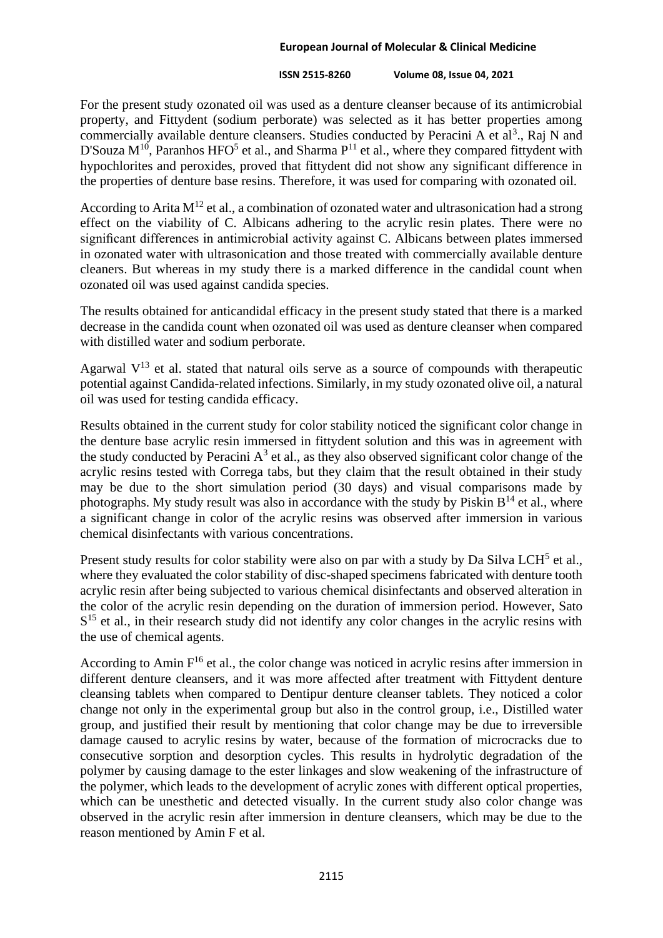#### **ISSN 2515-8260 Volume 08, Issue 04, 2021**

For the present study ozonated oil was used as a denture cleanser because of its antimicrobial property, and Fittydent (sodium perborate) was selected as it has better properties among commercially available denture cleansers. Studies conducted by Peracini A et al<sup>3</sup>., Raj N and D'Souza  $M^{10}$ , Paranhos HFO<sup>5</sup> et al., and Sharma  $P^{11}$  et al., where they compared fittydent with hypochlorites and peroxides, proved that fittydent did not show any significant difference in the properties of denture base resins. Therefore, it was used for comparing with ozonated oil.

According to Arita  $M^{12}$  et al., a combination of ozonated water and ultrasonication had a strong effect on the viability of C. Albicans adhering to the acrylic resin plates. There were no significant differences in antimicrobial activity against C. Albicans between plates immersed in ozonated water with ultrasonication and those treated with commercially available denture cleaners. But whereas in my study there is a marked difference in the candidal count when ozonated oil was used against candida species.

The results obtained for anticandidal efficacy in the present study stated that there is a marked decrease in the candida count when ozonated oil was used as denture cleanser when compared with distilled water and sodium perborate.

Agarwal  $V^{13}$  et al. stated that natural oils serve as a source of compounds with therapeutic potential against Candida-related infections. Similarly, in my study ozonated olive oil, a natural oil was used for testing candida efficacy.

Results obtained in the current study for color stability noticed the significant color change in the denture base acrylic resin immersed in fittydent solution and this was in agreement with the study conducted by Peracini  $A^3$  et al., as they also observed significant color change of the acrylic resins tested with Correga tabs, but they claim that the result obtained in their study may be due to the short simulation period (30 days) and visual comparisons made by photographs. My study result was also in accordance with the study by Piskin  $B^{14}$  et al., where a significant change in color of the acrylic resins was observed after immersion in various chemical disinfectants with various concentrations.

Present study results for color stability were also on par with a study by Da Silva LCH<sup>5</sup> et al., where they evaluated the color stability of disc-shaped specimens fabricated with denture tooth acrylic resin after being subjected to various chemical disinfectants and observed alteration in the color of the acrylic resin depending on the duration of immersion period. However, Sato  $S<sup>15</sup>$  et al., in their research study did not identify any color changes in the acrylic resins with the use of chemical agents.

According to Amin  $F<sup>16</sup>$  et al., the color change was noticed in acrylic resins after immersion in different denture cleansers, and it was more affected after treatment with Fittydent denture cleansing tablets when compared to Dentipur denture cleanser tablets. They noticed a color change not only in the experimental group but also in the control group, i.e., Distilled water group, and justified their result by mentioning that color change may be due to irreversible damage caused to acrylic resins by water, because of the formation of microcracks due to consecutive sorption and desorption cycles. This results in hydrolytic degradation of the polymer by causing damage to the ester linkages and slow weakening of the infrastructure of the polymer, which leads to the development of acrylic zones with different optical properties, which can be unesthetic and detected visually. In the current study also color change was observed in the acrylic resin after immersion in denture cleansers, which may be due to the reason mentioned by Amin F et al.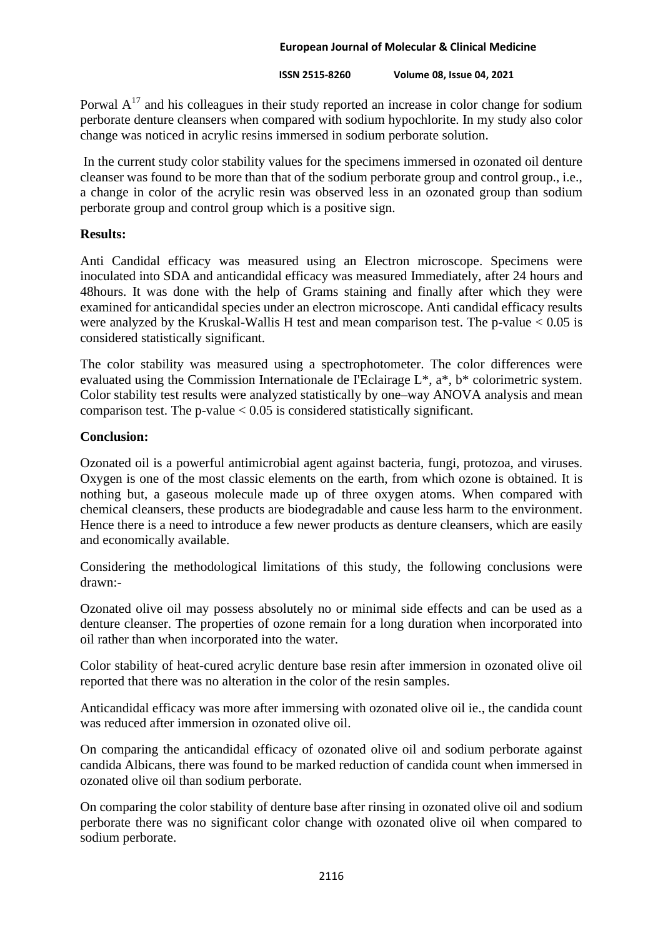### **ISSN 2515-8260 Volume 08, Issue 04, 2021**

Porwal  $A^{17}$  and his colleagues in their study reported an increase in color change for sodium perborate denture cleansers when compared with sodium hypochlorite. In my study also color change was noticed in acrylic resins immersed in sodium perborate solution.

In the current study color stability values for the specimens immersed in ozonated oil denture cleanser was found to be more than that of the sodium perborate group and control group., i.e., a change in color of the acrylic resin was observed less in an ozonated group than sodium perborate group and control group which is a positive sign.

## **Results:**

Anti Candidal efficacy was measured using an Electron microscope. Specimens were inoculated into SDA and anticandidal efficacy was measured Immediately, after 24 hours and 48hours. It was done with the help of Grams staining and finally after which they were examined for anticandidal species under an electron microscope. Anti candidal efficacy results were analyzed by the Kruskal-Wallis H test and mean comparison test. The p-value < 0.05 is considered statistically significant.

The color stability was measured using a spectrophotometer. The color differences were evaluated using the Commission Internationale de I'Eclairage L\*, a\*, b\* colorimetric system. Color stability test results were analyzed statistically by one–way ANOVA analysis and mean comparison test. The p-value  $< 0.05$  is considered statistically significant.

### **Conclusion:**

Ozonated oil is a powerful antimicrobial agent against bacteria, fungi, protozoa, and viruses. Oxygen is one of the most classic elements on the earth, from which ozone is obtained. It is nothing but, a gaseous molecule made up of three oxygen atoms. When compared with chemical cleansers, these products are biodegradable and cause less harm to the environment. Hence there is a need to introduce a few newer products as denture cleansers, which are easily and economically available.

Considering the methodological limitations of this study, the following conclusions were drawn:-

Ozonated olive oil may possess absolutely no or minimal side effects and can be used as a denture cleanser. The properties of ozone remain for a long duration when incorporated into oil rather than when incorporated into the water.

Color stability of heat-cured acrylic denture base resin after immersion in ozonated olive oil reported that there was no alteration in the color of the resin samples.

Anticandidal efficacy was more after immersing with ozonated olive oil ie., the candida count was reduced after immersion in ozonated olive oil.

On comparing the anticandidal efficacy of ozonated olive oil and sodium perborate against candida Albicans, there was found to be marked reduction of candida count when immersed in ozonated olive oil than sodium perborate.

On comparing the color stability of denture base after rinsing in ozonated olive oil and sodium perborate there was no significant color change with ozonated olive oil when compared to sodium perborate.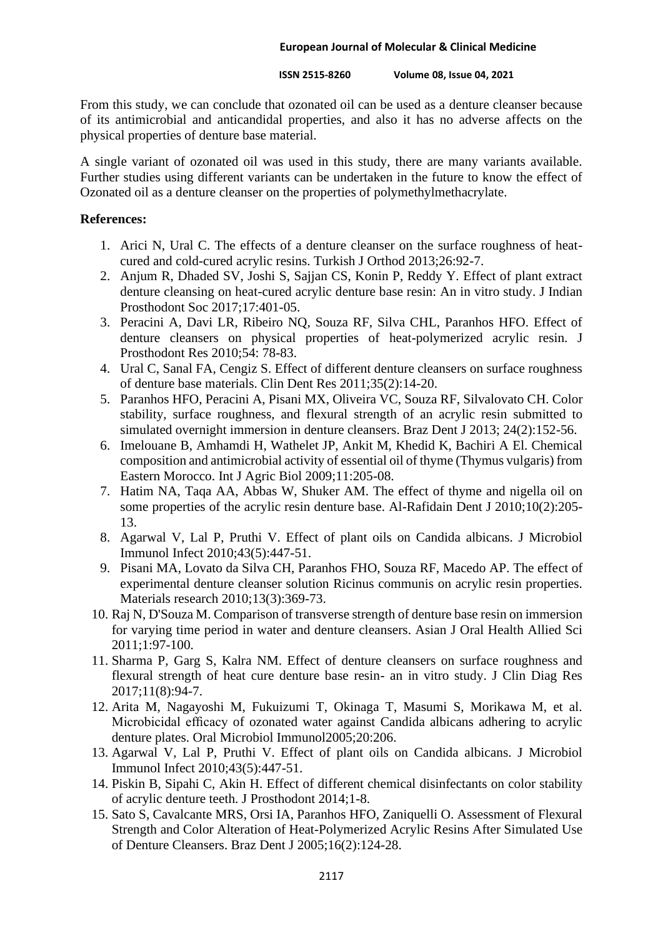**ISSN 2515-8260 Volume 08, Issue 04, 2021**

From this study, we can conclude that ozonated oil can be used as a denture cleanser because of its antimicrobial and anticandidal properties, and also it has no adverse affects on the physical properties of denture base material.

A single variant of ozonated oil was used in this study, there are many variants available. Further studies using different variants can be undertaken in the future to know the effect of Ozonated oil as a denture cleanser on the properties of polymethylmethacrylate.

### **References:**

- 1. Arici N, Ural C. The effects of a denture cleanser on the surface roughness of heatcured and cold-cured acrylic resins. Turkish J Orthod 2013;26:92-7.
- 2. Anjum R, Dhaded SV, Joshi S, Sajjan CS, Konin P, Reddy Y. Effect of plant extract denture cleansing on heat-cured acrylic denture base resin: An in vitro study. J Indian Prosthodont Soc 2017;17:401-05.
- 3. Peracini A, Davi LR, Ribeiro NQ, Souza RF, Silva CHL, Paranhos HFO. Effect of denture cleansers on physical properties of heat-polymerized acrylic resin. J Prosthodont Res 2010;54: 78-83.
- 4. Ural C, Sanal FA, Cengiz S. Effect of different denture cleansers on surface roughness of denture base materials. Clin Dent Res 2011;35(2):14-20.
- 5. Paranhos HFO, Peracini A, Pisani MX, Oliveira VC, Souza RF, Silvalovato CH. Color stability, surface roughness, and flexural strength of an acrylic resin submitted to simulated overnight immersion in denture cleansers. Braz Dent J 2013; 24(2):152-56.
- 6. Imelouane B, Amhamdi H, Wathelet JP, Ankit M, Khedid K, Bachiri A El. Chemical composition and antimicrobial activity of essential oil of thyme (Thymus vulgaris) from Eastern Morocco. Int J Agric Biol 2009;11:205-08.
- 7. Hatim NA, Taqa AA, Abbas W, Shuker AM. The effect of thyme and nigella oil on some properties of the acrylic resin denture base. Al-Rafidain Dent J 2010;10(2):205- 13.
- 8. Agarwal V, Lal P, Pruthi V. Effect of plant oils on Candida albicans. J Microbiol Immunol Infect 2010;43(5):447-51.
- 9. Pisani MA, Lovato da Silva CH, Paranhos FHO, Souza RF, Macedo AP. The effect of experimental denture cleanser solution Ricinus communis on acrylic resin properties. Materials research 2010;13(3):369-73.
- 10. Raj N, D'Souza M. Comparison of transverse strength of denture base resin on immersion for varying time period in water and denture cleansers. Asian J Oral Health Allied Sci 2011;1:97-100.
- 11. Sharma P, Garg S, Kalra NM. Effect of denture cleansers on surface roughness and flexural strength of heat cure denture base resin- an in vitro study. J Clin Diag Res 2017;11(8):94-7.
- 12. Arita M, Nagayoshi M, Fukuizumi T, Okinaga T, Masumi S, Morikawa M, et al. Microbicidal efficacy of ozonated water against Candida albicans adhering to acrylic denture plates. Oral Microbiol Immunol2005;20:206.
- 13. Agarwal V, Lal P, Pruthi V. Effect of plant oils on Candida albicans. J Microbiol Immunol Infect 2010;43(5):447-51.
- 14. Piskin B, Sipahi C, Akin H. Effect of different chemical disinfectants on color stability of acrylic denture teeth. J Prosthodont 2014;1-8.
- 15. Sato S, Cavalcante MRS, Orsi IA, Paranhos HFO, Zaniquelli O. Assessment of Flexural Strength and Color Alteration of Heat-Polymerized Acrylic Resins After Simulated Use of Denture Cleansers. Braz Dent J 2005;16(2):124-28.